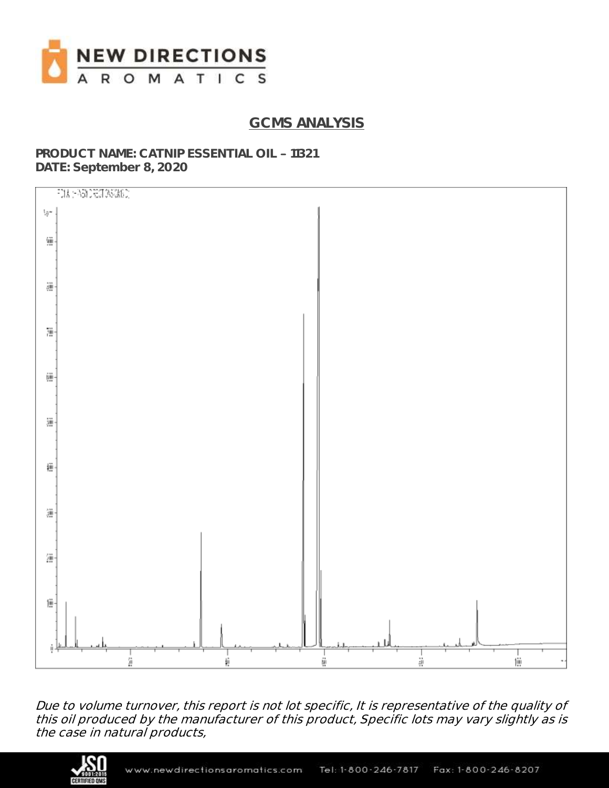

# **GCMS ANALYSIS**

## **PRODUCT NAME: CATNIP ESSENTIAL OIL - 11321 DATE: September 8, 2020**



Due to volume turnover, this report is not lot specific, It is representative of the quality of this oil produced by the manufacturer of this product, Specific lots may vary slightly as is the case in natural products,

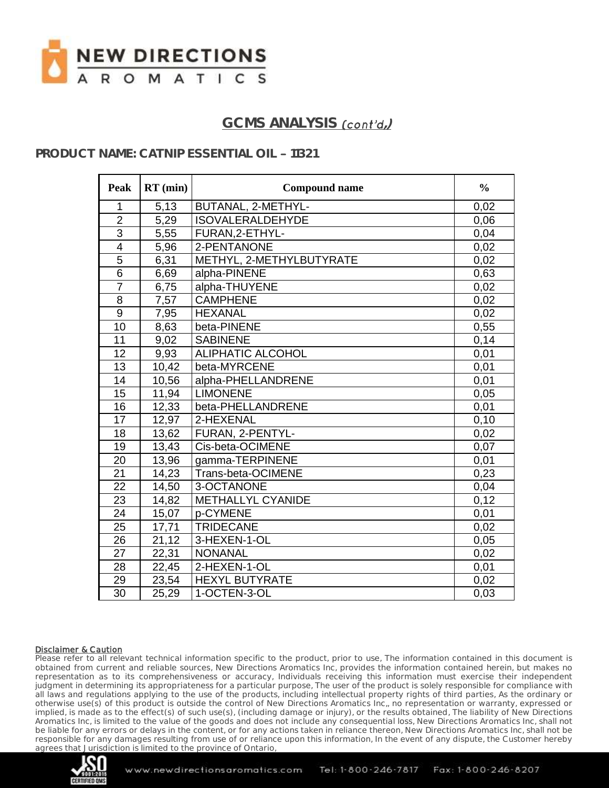

# GCMS ANALYSIS *(cont'd,)*

## **PRODUCT NAME: CATNIP ESSENTIAL OIL - 11321**

| Peak                    | $RT$ (min) | <b>Compound name</b>     | $\frac{0}{0}$ |
|-------------------------|------------|--------------------------|---------------|
| 1                       | 5,13       | BUTANAL, 2-METHYL-       | 0,02          |
| $\overline{2}$          | 5,29       | <b>ISOVALERALDEHYDE</b>  | 0,06          |
| $\overline{3}$          | 5,55       | FURAN, 2-ETHYL-          | 0,04          |
| $\overline{\mathbf{4}}$ | 5,96       | 2-PENTANONE              | 0,02          |
| $\overline{5}$          | 6,31       | METHYL, 2-METHYLBUTYRATE | 0,02          |
| $\overline{6}$          | 6,69       | alpha-PINENE             | 0,63          |
| $\overline{7}$          | 6,75       | alpha-THUYENE            | 0,02          |
| 8                       | 7,57       | <b>CAMPHENE</b>          | 0,02          |
| $\overline{9}$          | 7,95       | <b>HEXANAL</b>           | 0,02          |
| 10                      | 8,63       | beta-PINENE              | 0,55          |
| 11                      | 9,02       | <b>SABINENE</b>          | 0,14          |
| 12                      | 9,93       | <b>ALIPHATIC ALCOHOL</b> | 0,01          |
| 13                      | 10,42      | beta-MYRCENE             | 0,01          |
| 14                      | 10,56      | alpha-PHELLANDRENE       | 0,01          |
| 15                      | 11,94      | <b>LIMONENE</b>          | 0,05          |
| 16                      | 12,33      | beta-PHELLANDRENE        | 0,01          |
| 17                      | 12,97      | 2-HEXENAL                | 0,10          |
| 18                      | 13,62      | FURAN, 2-PENTYL-         | 0,02          |
| 19                      | 13,43      | Cis-beta-OCIMENE         | 0,07          |
| $\overline{20}$         | 13,96      | gamma-TERPINENE          | 0,01          |
| 21                      | 14,23      | Trans-beta-OCIMENE       | 0,23          |
| $\overline{22}$         | 14,50      | 3-OCTANONE               | 0,04          |
| 23                      | 14,82      | <b>METHALLYL CYANIDE</b> | 0,12          |
| 24                      | 15,07      | p-CYMENE                 | 0,01          |
| $\overline{25}$         | 17,71      | <b>TRIDECANE</b>         | 0,02          |
| 26                      | 21,12      | 3-HEXEN-1-OL             | 0,05          |
| 27                      | 22,31      | <b>NONANAL</b>           | 0,02          |
| 28                      | 22,45      | 2-HEXEN-1-OL             | 0,01          |
| 29                      | 23,54      | <b>HEXYL BUTYRATE</b>    | 0,02          |
| $\overline{30}$         | 25,29      | 1-OCTEN-3-OL             | 0,03          |

#### Disclaimer & Caution

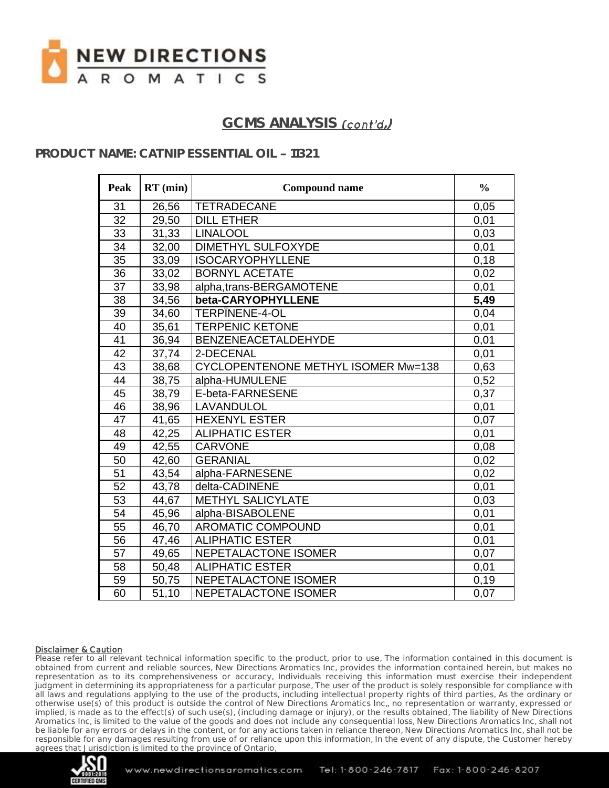

## GCMS ANALYSIS *(cont'd,)*

## **PRODUCT NAME: CATNIP ESSENTIAL OIL - 11321**

| Peak            | $RT$ (min) | <b>Compound name</b>                | $\frac{0}{0}$ |
|-----------------|------------|-------------------------------------|---------------|
| 31              | 26,56      | <b>TETRADECANE</b>                  | 0,05          |
| $\overline{32}$ | 29,50      | <b>DILL ETHER</b>                   | 0,01          |
| $\overline{33}$ | 31,33      | <b>LINALOOL</b>                     | 0,03          |
| 34              | 32,00      | DIMETHYL SULFOXYDE                  | 0,01          |
| 35              | 33,09      | <b>ISOCARYOPHYLLENE</b>             | 0,18          |
| 36              | 33,02      | <b>BORNYL ACETATE</b>               | 0,02          |
| 37              | 33,98      | alpha, trans-BERGAMOTENE            | 0,01          |
| 38              | 34,56      | beta-CARYOPHYLLENE                  | 5,49          |
| 39              | 34,60      | TERPINENE-4-OL                      | 0,04          |
| 40              | 35,61      | <b>TERPENIC KETONE</b>              | 0,01          |
| 41              | 36,94      | BENZENEACETALDEHYDE                 | 0,01          |
| 42              | 37,74      | 2-DECENAL                           | 0,01          |
| 43              | 38,68      | CYCLOPENTENONE METHYL ISOMER Mw=138 | 0,63          |
| 44              | 38,75      | alpha-HUMULENE                      | 0,52          |
| 45              | 38,79      | E-beta-FARNESENE                    | 0,37          |
| 46              | 38,96      | LAVANDULOL                          | 0,01          |
| 47              | 41,65      | <b>HEXENYL ESTER</b>                | 0,07          |
| 48              | 42,25      | <b>ALIPHATIC ESTER</b>              | 0,01          |
| 49              | 42,55      | <b>CARVONE</b>                      | 0,08          |
| 50              | 42,60      | <b>GERANIAL</b>                     | 0,02          |
| 51              | 43,54      | alpha-FARNESENE                     | 0,02          |
| 52              | 43,78      | delta-CADINENE                      | 0,01          |
| 53              | 44,67      | <b>METHYL SALICYLATE</b>            | 0,03          |
| 54              | 45,96      | alpha-BISABOLENE                    | 0,01          |
| 55              | 46,70      | <b>AROMATIC COMPOUND</b>            | 0,01          |
| 56              | 47,46      | <b>ALIPHATIC ESTER</b>              | 0,01          |
| 57              | 49,65      | NEPETALACTONE ISOMER                | 0,07          |
| 58              | 50,48      | <b>ALIPHATIC ESTER</b>              | 0,01          |
| 59              | 50,75      | NEPETALACTONE ISOMER                | 0,19          |
| 60              | 51,10      | NEPETALACTONE ISOMER                | 0,07          |

#### Disclaimer & Caution

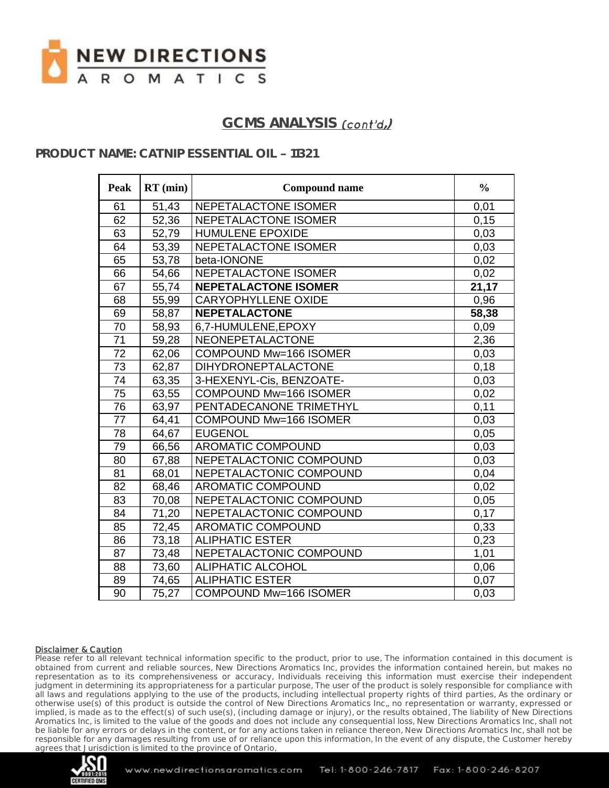

# GCMS ANALYSIS *(cont'd.)*

## **PRODUCT NAME: CATNIP ESSENTIAL OIL - 11321**

| <b>Peak</b>     | $RT$ (min) | <b>Compound name</b>          | $\frac{0}{0}$ |
|-----------------|------------|-------------------------------|---------------|
| 61              | 51,43      | NEPETALACTONE ISOMER          | 0,01          |
| 62              | 52,36      | NEPETALACTONE ISOMER          | 0,15          |
| 63              | 52,79      | <b>HUMULENE EPOXIDE</b>       | 0,03          |
| 64              | 53,39      | NEPETALACTONE ISOMER          | 0,03          |
| 65              | 53,78      | beta-IONONE                   | 0,02          |
| 66              | 54,66      | NEPETALACTONE ISOMER          | 0,02          |
| 67              | 55,74      | <b>NEPETALACTONE ISOMER</b>   | 21,17         |
| 68              | 55,99      | <b>CARYOPHYLLENE OXIDE</b>    | 0,96          |
| 69              | 58,87      | <b>NEPETALACTONE</b>          | 58,38         |
| 70              | 58,93      | 6,7-HUMULENE, EPOXY           | 0,09          |
| 71              | 59,28      | <b>NEONEPETALACTONE</b>       | 2,36          |
| 72              | 62,06      | <b>COMPOUND Mw=166 ISOMER</b> | 0,03          |
| $\overline{73}$ | 62,87      | <b>DIHYDRONEPTALACTONE</b>    | 0,18          |
| 74              | 63,35      | 3-HEXENYL-Cis, BENZOATE-      | 0,03          |
| 75              | 63,55      | <b>COMPOUND Mw=166 ISOMER</b> | 0,02          |
| 76              | 63,97      | PENTADECANONE TRIMETHYL       | 0,11          |
| 77              | 64,41      | <b>COMPOUND Mw=166 ISOMER</b> | 0,03          |
| 78              | 64,67      | <b>EUGENOL</b>                | 0,05          |
| 79              | 66,56      | <b>AROMATIC COMPOUND</b>      | 0,03          |
| 80              | 67,88      | NEPETALACTONIC COMPOUND       | 0,03          |
| 81              | 68,01      | NEPETALACTONIC COMPOUND       | 0,04          |
| 82              | 68,46      | <b>AROMATIC COMPOUND</b>      | 0,02          |
| 83              | 70,08      | NEPETALACTONIC COMPOUND       | 0,05          |
| 84              | 71,20      | NEPETALACTONIC COMPOUND       | 0,17          |
| 85              | 72,45      | AROMATIC COMPOUND             | 0,33          |
| 86              | 73,18      | <b>ALIPHATIC ESTER</b>        | 0,23          |
| 87              | 73,48      | NEPETALACTONIC COMPOUND       | 1,01          |
| 88              | 73,60      | <b>ALIPHATIC ALCOHOL</b>      | 0,06          |
| 89              | 74,65      | <b>ALIPHATIC ESTER</b>        | 0,07          |
| 90              | 75,27      | <b>COMPOUND Mw=166 ISOMER</b> | 0,03          |

#### Disclaimer & Caution